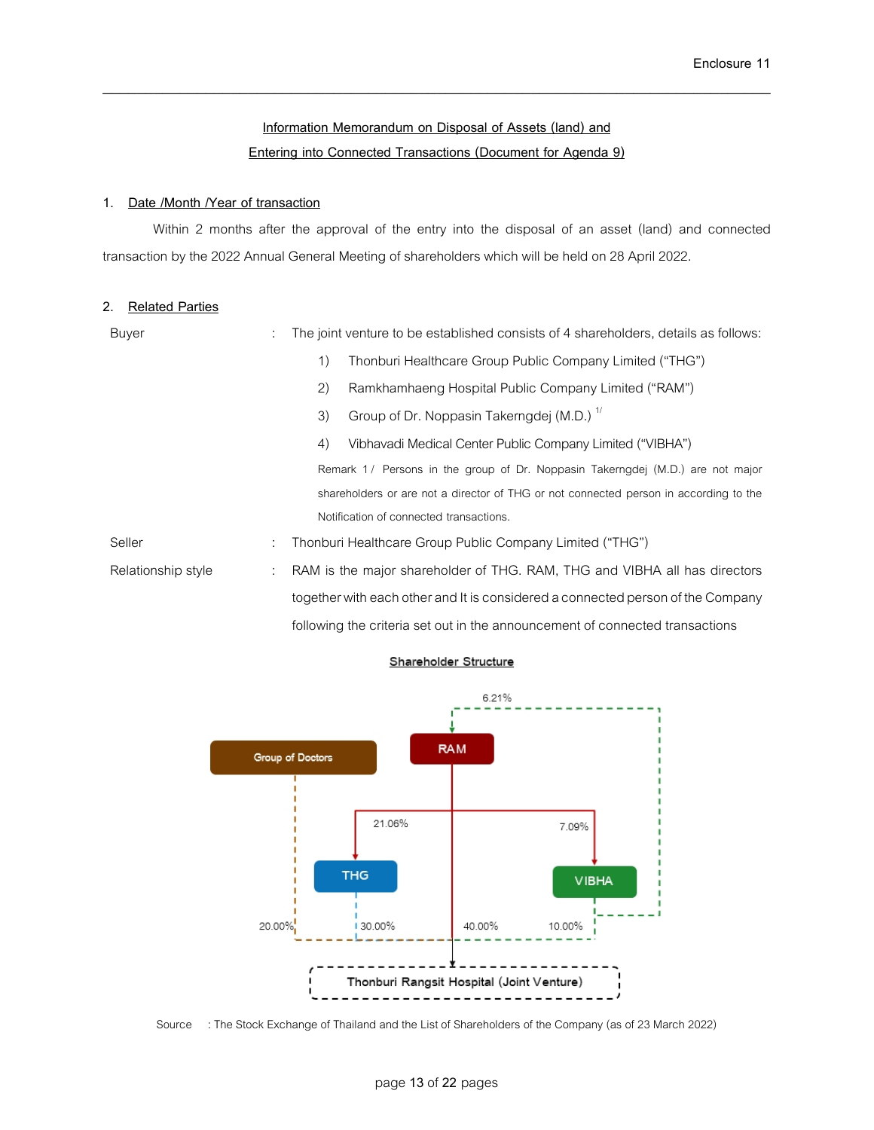# **Information Memorandum on Disposal of Assets (land) and Entering into Connected Transactions (Document for Agenda 9)**

\_\_\_\_\_\_\_\_\_\_\_\_\_\_\_\_\_\_\_\_\_\_\_\_\_\_\_\_\_\_\_\_\_\_\_\_\_\_\_\_\_\_\_\_\_\_\_\_\_\_\_\_\_\_\_\_\_\_\_\_\_\_\_\_\_\_\_\_\_\_\_\_\_\_\_\_\_\_

### **1. Date /Month /Year of transaction**

Within 2 months after the approval of the entry into the disposal of an asset (land) and connected transaction by the 2022 Annual General Meeting of shareholders which will be held on 28 April 2022.

# **2. Related Parties**

| <b>Buyer</b>       | The joint venture to be established consists of 4 shareholders, details as follows:                        |
|--------------------|------------------------------------------------------------------------------------------------------------|
|                    | $\left( \begin{matrix} 1 \end{matrix} \right)$<br>Thonburi Healthcare Group Public Company Limited ("THG") |
|                    | (2)<br>Ramkhamhaeng Hospital Public Company Limited ("RAM")                                                |
|                    | Group of Dr. Noppasin Takerngdej (M.D.) <sup>1/</sup><br>3)                                                |
|                    | Vibhavadi Medical Center Public Company Limited ("VIBHA")<br>4)                                            |
|                    | Remark 1/ Persons in the group of Dr. Noppasin Takerngdej (M.D.) are not major                             |
|                    | shareholders or are not a director of THG or not connected person in according to the                      |
|                    | Notification of connected transactions.                                                                    |
| Seller             | Thonburi Healthcare Group Public Company Limited ("THG")                                                   |
| Relationship style | RAM is the major shareholder of THG. RAM, THG and VIBHA all has directors                                  |
|                    | together with each other and It is considered a connected person of the Company                            |

following the criteria set out in the announcement of connected transactions



#### Shareholder Structure

Source : The Stock Exchange of Thailand and the List of Shareholders of the Company (as of 23 March 2022)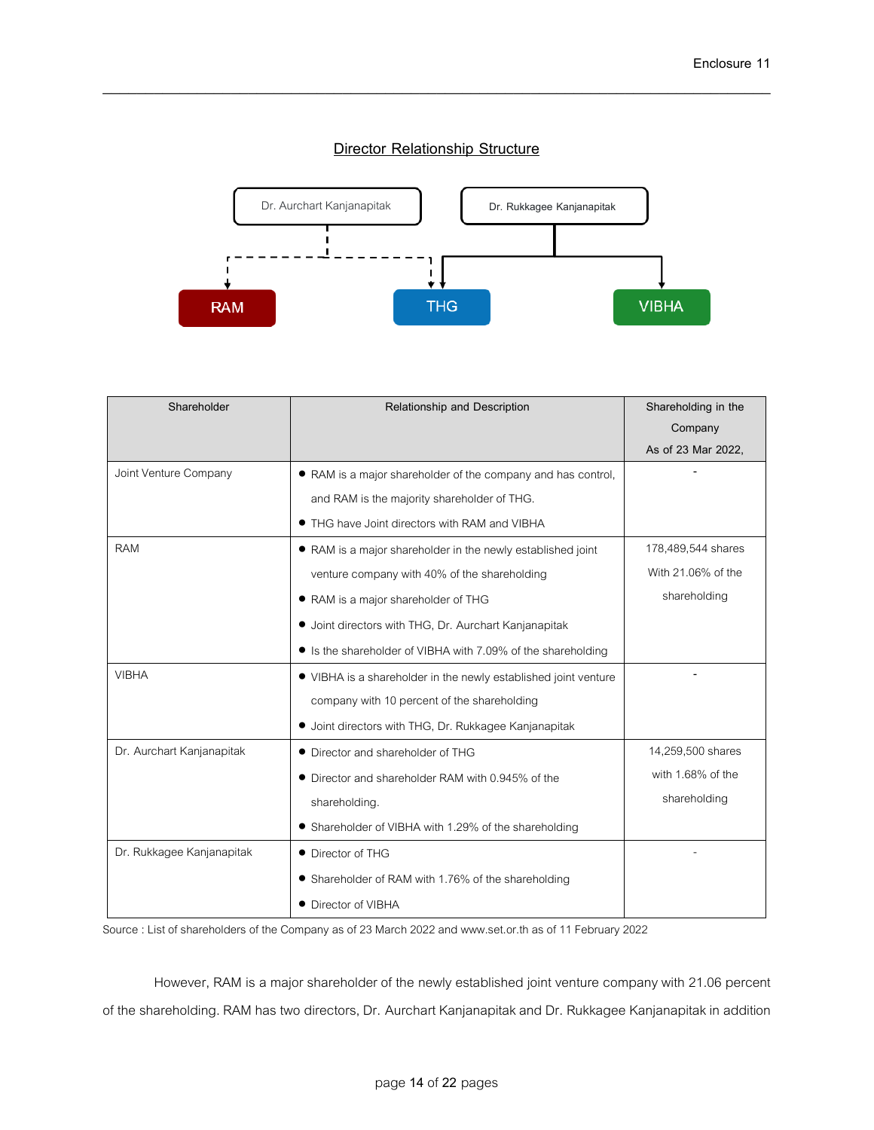# **Director Relationship Structure**

\_\_\_\_\_\_\_\_\_\_\_\_\_\_\_\_\_\_\_\_\_\_\_\_\_\_\_\_\_\_\_\_\_\_\_\_\_\_\_\_\_\_\_\_\_\_\_\_\_\_\_\_\_\_\_\_\_\_\_\_\_\_\_\_\_\_\_\_\_\_\_\_\_\_\_\_\_\_



| Shareholder               | Relationship and Description                                    | Shareholding in the |
|---------------------------|-----------------------------------------------------------------|---------------------|
|                           |                                                                 | Company             |
|                           |                                                                 | As of 23 Mar 2022,  |
| Joint Venture Company     | • RAM is a major shareholder of the company and has control,    |                     |
|                           | and RAM is the majority shareholder of THG.                     |                     |
|                           | • THG have Joint directors with RAM and VIBHA                   |                     |
| <b>RAM</b>                | • RAM is a major shareholder in the newly established joint     | 178,489,544 shares  |
|                           | venture company with 40% of the shareholding                    | With 21.06% of the  |
|                           | • RAM is a major shareholder of THG                             | shareholding        |
|                           | • Joint directors with THG, Dr. Aurchart Kanjanapitak           |                     |
|                           | • Is the shareholder of VIBHA with 7.09% of the shareholding    |                     |
| <b>VIBHA</b>              | • VIBHA is a shareholder in the newly established joint venture |                     |
|                           | company with 10 percent of the shareholding                     |                     |
|                           | • Joint directors with THG, Dr. Rukkagee Kanjanapitak           |                     |
| Dr. Aurchart Kanjanapitak | • Director and shareholder of THG                               | 14,259,500 shares   |
|                           | • Director and shareholder RAM with 0.945% of the               | with 1.68% of the   |
|                           | shareholding.                                                   | shareholding        |
|                           | • Shareholder of VIBHA with 1.29% of the shareholding           |                     |
| Dr. Rukkagee Kanjanapitak | • Director of THG                                               |                     |
|                           | • Shareholder of RAM with 1.76% of the shareholding             |                     |
|                           | • Director of VIBHA                                             |                     |

Source: List of shareholders of the Company as of 23 March 2022 and www.set.or.th as of 11 February 2022

However, RAM is a major shareholder of the newly established joint venture company with 21.06 percent of the shareholding. RAM has two directors, Dr. Aurchart Kanjanapitak and Dr. Rukkagee Kanjanapitak in addition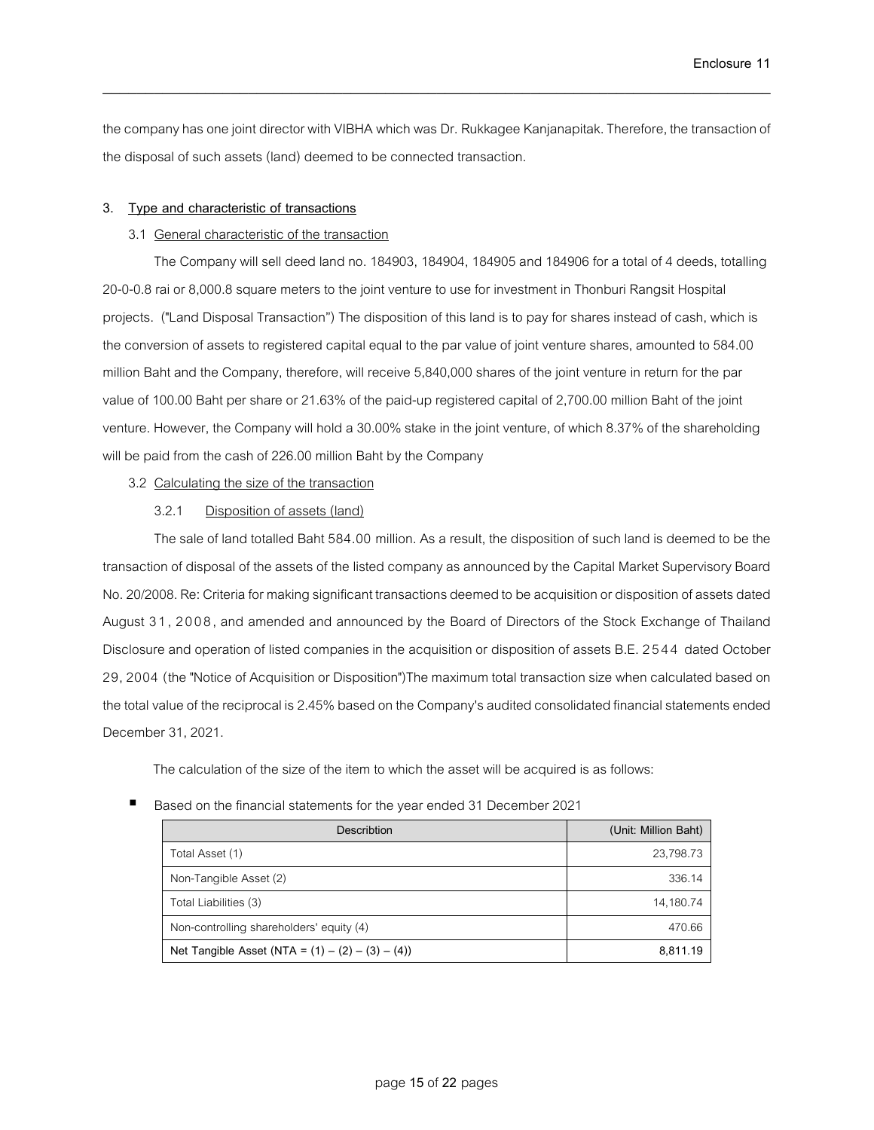the company has one joint director with VIBHA which was Dr. Rukkagee Kanjanapitak.Therefore, the transaction of the disposal of such assets (land) deemed to be connected transaction.

\_\_\_\_\_\_\_\_\_\_\_\_\_\_\_\_\_\_\_\_\_\_\_\_\_\_\_\_\_\_\_\_\_\_\_\_\_\_\_\_\_\_\_\_\_\_\_\_\_\_\_\_\_\_\_\_\_\_\_\_\_\_\_\_\_\_\_\_\_\_\_\_\_\_\_\_\_\_

### **3. Type and characteristic of transactions**

### 3.1 General characteristic of the transaction

The Company will sell deed land no. 184903, 184904, 184905 and 184906 for a total of 4 deeds, totalling 20-0-0.8 rai or 8,000.8 square meters to the joint venture to use for investment in Thonburi Rangsit Hospital projects. ("Land Disposal Transaction") The disposition of this land is to pay for shares instead of cash, which is the conversion of assets to registered capital equal to the par value of joint venture shares, amounted to 584.00 million Baht and the Company, therefore, will receive 5,840,000 shares of the joint venture in return for the par value of 100.00 Baht per share or 21.63% of the paid-up registered capital of 2,700.00 million Baht of the joint venture. However, the Company will hold a 30.00% stake in the joint venture, of which 8.37% of the shareholding will be paid from the cash of 226.00 million Baht by the Company

### 3.2 Calculating the size of the transaction

### 3.2.1 Disposition of assets (land)

The sale of land totalled Baht 584.00 million. As a result, the disposition of such land is deemed to be the transaction of disposal of the assets of the listed company as announced by the Capital Market Supervisory Board No. 20/2008. Re: Criteria for making significant transactions deemed to be acquisition or disposition of assets dated August 3 1, 2008, and amended and announced by the Board of Directors of the Stock Exchange of Thailand Disclosure and operation of listed companies in the acquisition or disposition of assets B.E. 2544 dated October 29, 2004 (the "Notice of Acquisition or Disposition")The maximum total transaction size when calculated based on the total value of the reciprocal is 2.45% based on the Company's audited consolidated financial statements ended December 31, 2021.

The calculation of the size of the item to which the asset will be acquired is as follows:

#### Based on the financial statements for the year ended 31 December 2021

| Describtion                                         | (Unit: Million Baht) |
|-----------------------------------------------------|----------------------|
| Total Asset (1)                                     | 23,798.73            |
| Non-Tangible Asset (2)                              | 336.14               |
| Total Liabilities (3)                               | 14,180.74            |
| Non-controlling shareholders' equity (4)            | 470.66               |
| Net Tangible Asset (NTA = $(1) - (2) - (3) - (4)$ ) | 8,811.19             |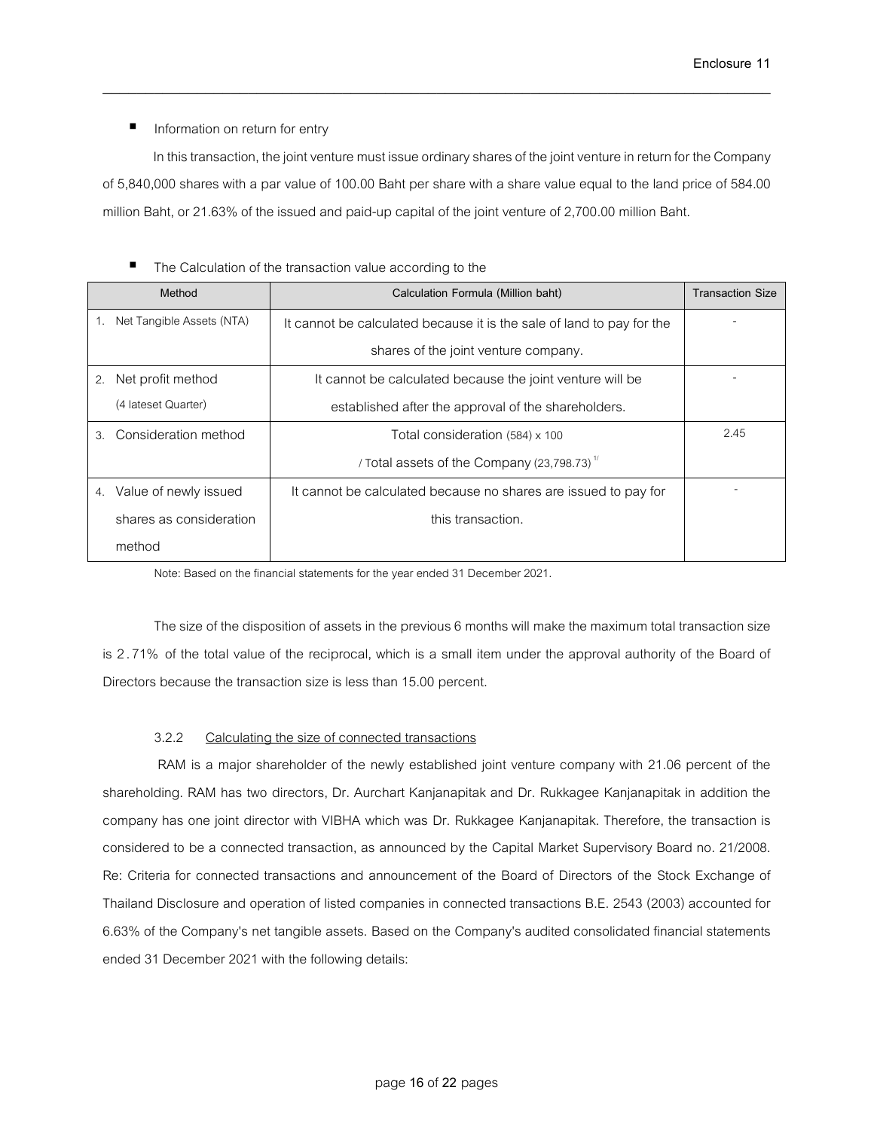Information on return for entry

In this transaction, the joint venture must issue ordinary shares of the joint venture in return for the Company of 5,840,000 shares with a par value of 100.00 Baht per share with a share value equal to the land price of 584.00 million Baht, or 21.63% of the issued and paid-up capital of the joint venture of 2,700.00 million Baht.

\_\_\_\_\_\_\_\_\_\_\_\_\_\_\_\_\_\_\_\_\_\_\_\_\_\_\_\_\_\_\_\_\_\_\_\_\_\_\_\_\_\_\_\_\_\_\_\_\_\_\_\_\_\_\_\_\_\_\_\_\_\_\_\_\_\_\_\_\_\_\_\_\_\_\_\_\_\_

| Method                          | Calculation Formula (Million baht)                                    | <b>Transaction Size</b> |
|---------------------------------|-----------------------------------------------------------------------|-------------------------|
| Net Tangible Assets (NTA)<br>1. | It cannot be calculated because it is the sale of land to pay for the |                         |
|                                 | shares of the joint venture company.                                  |                         |
| Net profit method<br>2.         | It cannot be calculated because the joint venture will be             |                         |
| (4 lateset Quarter)             | established after the approval of the shareholders.                   |                         |
| Consideration method<br>3.      | Total consideration (584) x 100                                       | 2.45                    |
|                                 | / Total assets of the Company (23,798.73) $^{\prime\prime}$           |                         |
| Value of newly issued<br>4.     | It cannot be calculated because no shares are issued to pay for       |                         |
| shares as consideration         | this transaction.                                                     |                         |
| method                          |                                                                       |                         |

# ■ The Calculation of the transaction value according to the

Note: Based on the financial statements for the year ended 31 December 2021.

The size of the disposition of assets in the previous 6 months will make the maximum total transaction size is 2 .71% of the total value of the reciprocal, which is a small item under the approval authority of the Board of Directors because the transaction size is less than 15.00 percent.

### 3.2.2 Calculating the size of connected transactions

RAM is a major shareholder of the newly established joint venture company with 21.06 percent of the shareholding. RAM has two directors, Dr. Aurchart Kanjanapitak and Dr. Rukkagee Kanjanapitak in addition the company has one joint director with VIBHA which was Dr. Rukkagee Kanjanapitak. Therefore, the transaction is considered to be a connected transaction, as announced by the Capital Market Supervisory Board no. 21/2008. Re: Criteria for connected transactions and announcement of the Board of Directors of the Stock Exchange of Thailand Disclosure and operation of listed companies in connected transactions B.E. 2543 (2003) accounted for 6.63% of the Company's net tangible assets. Based on the Company's audited consolidated financial statements ended 31 December 2021 with the following details: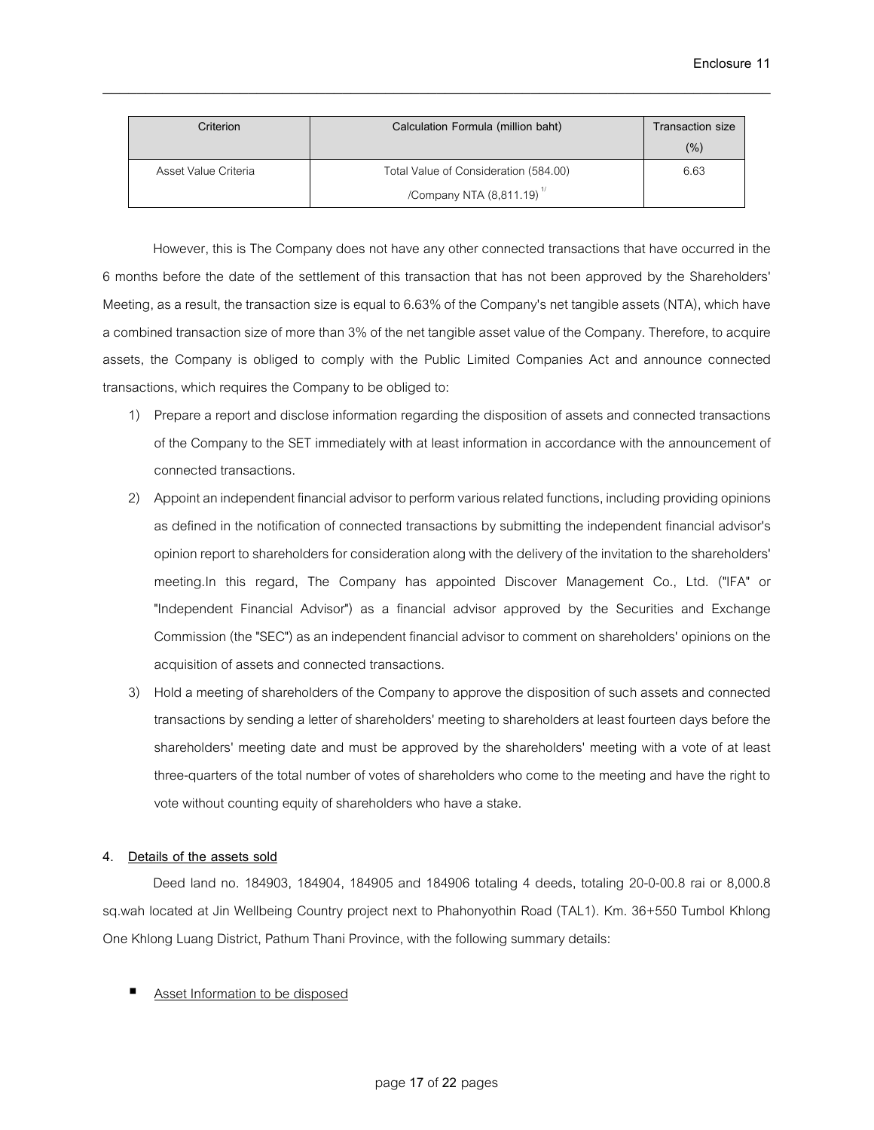| Criterion            | Calculation Formula (million baht)      | Transaction size |
|----------------------|-----------------------------------------|------------------|
|                      |                                         | (% )             |
| Asset Value Criteria | Total Value of Consideration (584.00)   | 6.63             |
|                      | /Company NTA $(8,811.19)$ <sup>17</sup> |                  |

\_\_\_\_\_\_\_\_\_\_\_\_\_\_\_\_\_\_\_\_\_\_\_\_\_\_\_\_\_\_\_\_\_\_\_\_\_\_\_\_\_\_\_\_\_\_\_\_\_\_\_\_\_\_\_\_\_\_\_\_\_\_\_\_\_\_\_\_\_\_\_\_\_\_\_\_\_\_

However, this is The Company does not have any other connected transactions that have occurred in the 6 months before the date of the settlement of this transaction that has not been approved by the Shareholders' Meeting, as a result, the transaction size is equal to 6.63% of the Company's net tangible assets (NTA), which have a combined transaction size of more than 3% of the net tangible asset value of the Company. Therefore, to acquire assets, the Company is obliged to comply with the Public Limited Companies Act and announce connected transactions, which requires the Company to be obliged to:

- 1) Prepare a report and disclose information regarding the disposition of assets and connected transactions of the Company to the SET immediately with at least information in accordance with the announcement of connected transactions.
- 2) Appoint an independent financial advisor to perform various related functions, including providing opinions as defined in the notification of connected transactions by submitting the independent financial advisor's opinion report to shareholders for consideration along with the delivery of the invitation to the shareholders' meeting.In this regard, The Company has appointed Discover Management Co., Ltd. ("IFA" or "Independent Financial Advisor") as a financial advisor approved by the Securities and Exchange Commission (the "SEC") as an independent financial advisor to comment on shareholders' opinions on the acquisition of assets and connected transactions.
- 3) Hold a meeting of shareholders of the Company to approve the disposition of such assets and connected transactions by sending a letter of shareholders' meeting to shareholders at least fourteen days before the shareholders' meeting date and must be approved by the shareholders' meeting with a vote of at least three-quarters of the total number of votes of shareholders who come to the meeting and have the right to vote without counting equity of shareholders who have a stake.

# **4. Details of the assets sold**

Deed land no. 184903, 184904, 184905 and 184906 totaling 4 deeds, totaling 20-0-00.8 rai or 8,000.8 sq.wah located at Jin Wellbeing Country project next to Phahonyothin Road (TAL1). Km. 36+550 Tumbol Khlong One Khlong Luang District, Pathum Thani Province, with the following summary details:

Asset Information to be disposed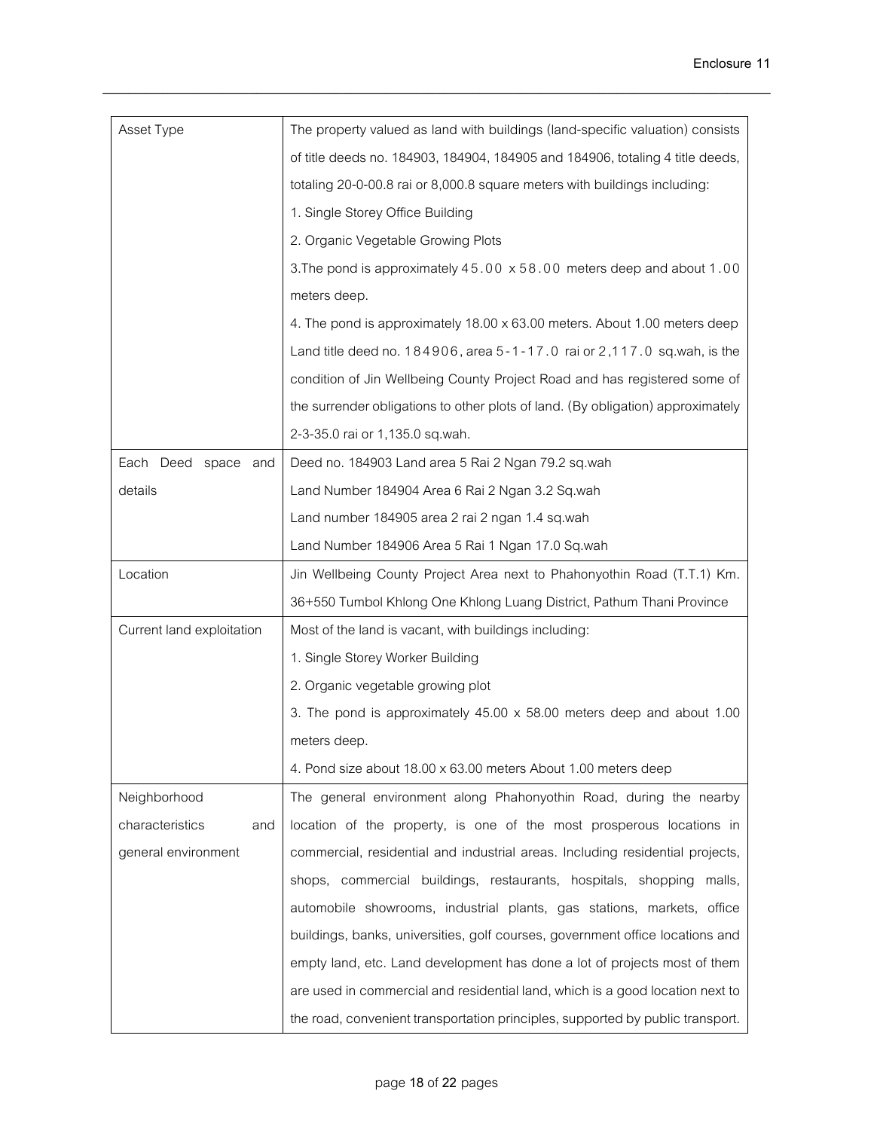| Asset Type                | The property valued as land with buildings (land-specific valuation) consists   |
|---------------------------|---------------------------------------------------------------------------------|
|                           | of title deeds no. 184903, 184904, 184905 and 184906, totaling 4 title deeds,   |
|                           | totaling 20-0-00.8 rai or 8,000.8 square meters with buildings including:       |
|                           | 1. Single Storey Office Building                                                |
|                           | 2. Organic Vegetable Growing Plots                                              |
|                           | 3. The pond is approximately 45.00 x 58.00 meters deep and about 1.00           |
|                           | meters deep.                                                                    |
|                           | 4. The pond is approximately 18.00 x 63.00 meters. About 1.00 meters deep       |
|                           | Land title deed no. 184906, area 5-1-17.0 rai or 2,117.0 sq.wah, is the         |
|                           | condition of Jin Wellbeing County Project Road and has registered some of       |
|                           | the surrender obligations to other plots of land. (By obligation) approximately |
|                           | 2-3-35.0 rai or 1,135.0 sq.wah.                                                 |
| Each Deed space and       | Deed no. 184903 Land area 5 Rai 2 Ngan 79.2 sq.wah                              |
| details                   | Land Number 184904 Area 6 Rai 2 Ngan 3.2 Sq.wah                                 |
|                           | Land number 184905 area 2 rai 2 ngan 1.4 sq.wah                                 |
|                           | Land Number 184906 Area 5 Rai 1 Ngan 17.0 Sq.wah                                |
| Location                  | Jin Wellbeing County Project Area next to Phahonyothin Road (T.T.1) Km.         |
|                           | 36+550 Tumbol Khlong One Khlong Luang District, Pathum Thani Province           |
| Current land exploitation | Most of the land is vacant, with buildings including:                           |
|                           | 1. Single Storey Worker Building                                                |
|                           | 2. Organic vegetable growing plot                                               |
|                           | 3. The pond is approximately 45.00 x 58.00 meters deep and about 1.00           |
|                           | meters deep.                                                                    |
|                           | 4. Pond size about 18.00 x 63.00 meters About 1.00 meters deep                  |
| Neighborhood              | The general environment along Phahonyothin Road, during the nearby              |
| characteristics<br>and    | location of the property, is one of the most prosperous locations in            |
| general environment       | commercial, residential and industrial areas. Including residential projects,   |
|                           | shops, commercial buildings, restaurants, hospitals, shopping malls,            |
|                           | automobile showrooms, industrial plants, gas stations, markets, office          |
|                           | buildings, banks, universities, golf courses, government office locations and   |
|                           | empty land, etc. Land development has done a lot of projects most of them       |
|                           | are used in commercial and residential land, which is a good location next to   |
|                           | the road, convenient transportation principles, supported by public transport.  |

\_\_\_\_\_\_\_\_\_\_\_\_\_\_\_\_\_\_\_\_\_\_\_\_\_\_\_\_\_\_\_\_\_\_\_\_\_\_\_\_\_\_\_\_\_\_\_\_\_\_\_\_\_\_\_\_\_\_\_\_\_\_\_\_\_\_\_\_\_\_\_\_\_\_\_\_\_\_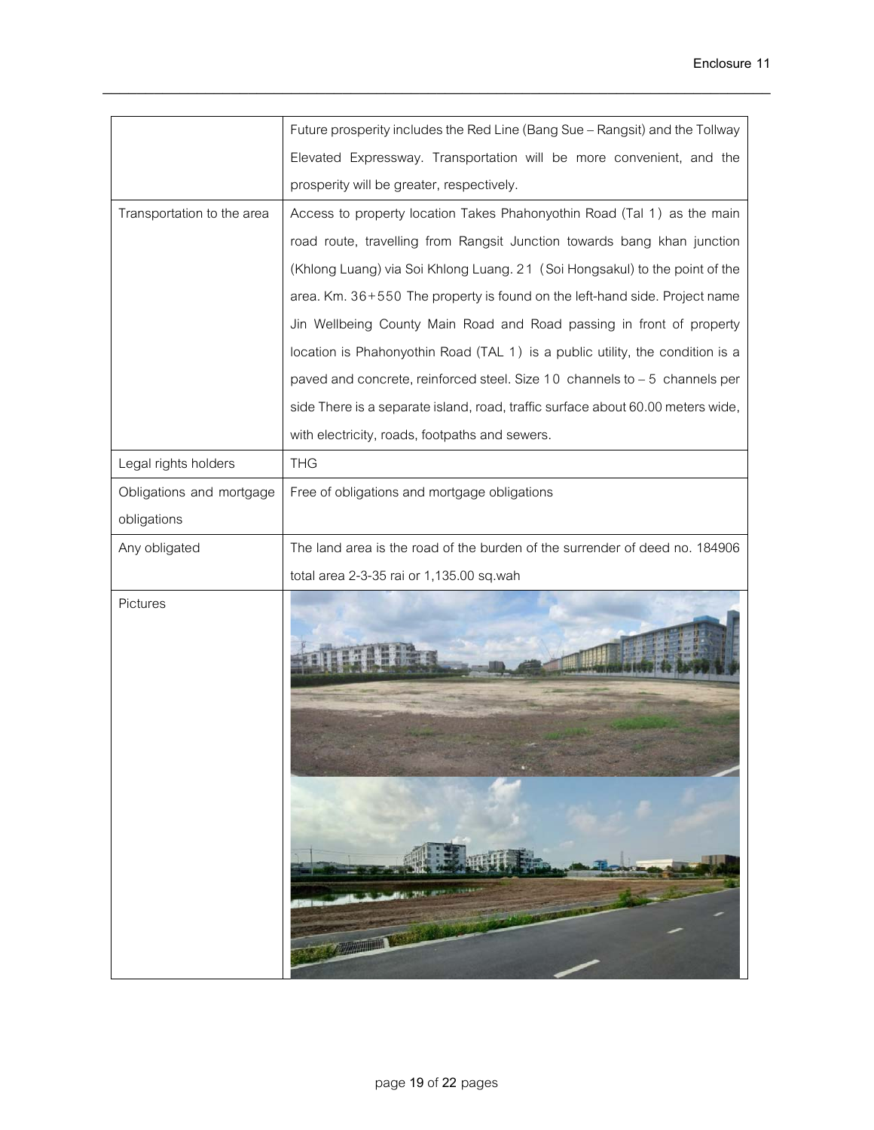|                            | Future prosperity includes the Red Line (Bang Sue - Rangsit) and the Tollway    |
|----------------------------|---------------------------------------------------------------------------------|
|                            | Elevated Expressway. Transportation will be more convenient, and the            |
|                            | prosperity will be greater, respectively.                                       |
| Transportation to the area | Access to property location Takes Phahonyothin Road (Tal 1) as the main         |
|                            | road route, travelling from Rangsit Junction towards bang khan junction         |
|                            | (Khlong Luang) via Soi Khlong Luang. 21 (Soi Hongsakul) to the point of the     |
|                            | area. Km. 36+550 The property is found on the left-hand side. Project name      |
|                            | Jin Wellbeing County Main Road and Road passing in front of property            |
|                            | location is Phahonyothin Road (TAL 1) is a public utility, the condition is a   |
|                            | paved and concrete, reinforced steel. Size 10 channels to - 5 channels per      |
|                            | side There is a separate island, road, traffic surface about 60.00 meters wide, |
|                            | with electricity, roads, footpaths and sewers.                                  |
| Legal rights holders       | <b>THG</b>                                                                      |
| Obligations and mortgage   | Free of obligations and mortgage obligations                                    |
| obligations                |                                                                                 |
| Any obligated              | The land area is the road of the burden of the surrender of deed no. 184906     |
|                            | total area 2-3-35 rai or 1,135.00 sq.wah                                        |
| Pictures                   |                                                                                 |
|                            |                                                                                 |

\_\_\_\_\_\_\_\_\_\_\_\_\_\_\_\_\_\_\_\_\_\_\_\_\_\_\_\_\_\_\_\_\_\_\_\_\_\_\_\_\_\_\_\_\_\_\_\_\_\_\_\_\_\_\_\_\_\_\_\_\_\_\_\_\_\_\_\_\_\_\_\_\_\_\_\_\_\_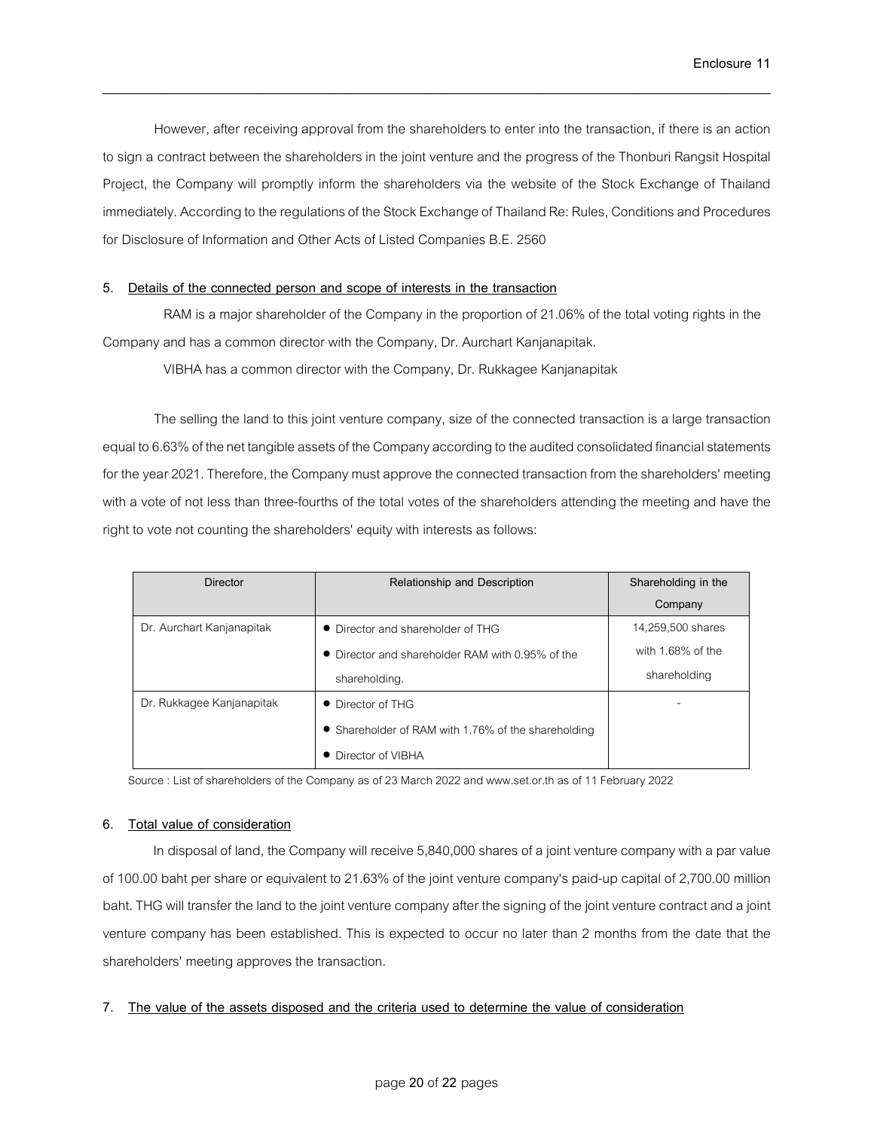However, after receiving approval from the shareholders to enter into the transaction, if there is an action to sign a contract between the shareholders in the joint venture and the progress of the Thonburi Rangsit Hospital Project, the Company will promptly inform the shareholders via the website of the Stock Exchange of Thailand immediately. According to the regulations of the Stock Exchange of Thailand Re: Rules, Conditions and Procedures for Disclosure of Information and Other Acts of Listed Companies B.E. 2560

\_\_\_\_\_\_\_\_\_\_\_\_\_\_\_\_\_\_\_\_\_\_\_\_\_\_\_\_\_\_\_\_\_\_\_\_\_\_\_\_\_\_\_\_\_\_\_\_\_\_\_\_\_\_\_\_\_\_\_\_\_\_\_\_\_\_\_\_\_\_\_\_\_\_\_\_\_\_

# **5. Details of the connected person and scope of interests in the transaction**

RAM is a major shareholder of the Company in the proportion of 21.06% of the total voting rights in the Company and has a common director with the Company, Dr. Aurchart Kanjanapitak.

VIBHA has a common director with the Company, Dr. Rukkagee Kanjanapitak

The selling the land to this joint venture company, size of the connected transaction is a large transaction equal to 6.63% of the net tangible assets of the Companyaccording to the audited consolidated financial statements for the year 2021. Therefore, the Company must approve the connected transaction from the shareholders' meeting with a vote of not less than three-fourths of the total votes of the shareholders attending the meeting and have the right to vote not counting the shareholders' equity with interests as follows:

| <b>Director</b>           | Relationship and Description                        | Shareholding in the |
|---------------------------|-----------------------------------------------------|---------------------|
|                           |                                                     | Company             |
| Dr. Aurchart Kanjanapitak | • Director and shareholder of THG                   | 14,259,500 shares   |
|                           | • Director and shareholder RAM with 0.95% of the    | with 1.68% of the   |
|                           | shareholding.                                       | shareholding        |
| Dr. Rukkagee Kanjanapitak | • Director of THG                                   |                     |
|                           | • Shareholder of RAM with 1.76% of the shareholding |                     |
|                           | • Director of VIBHA                                 |                     |

Source: List of shareholders of the Company as of 23 March 2022 and www.set.or.th as of 11 February 2022

## **6. Total value of consideration**

In disposalof land, the Company will receive 5,840,000 shares of a joint venture company with a par value of 100.00 baht per share or equivalent to21.63% of the joint venture company's paid-up capital of 2,700.00 million baht. THG will transfer the land to the joint venture company after the signing of the joint venture contract and a joint venture company has been established. This is expected to occur no later than 2 months from the date that the shareholders' meeting approves the transaction.

# **7. The value of the assets disposed and the criteria used to determine the value of consideration**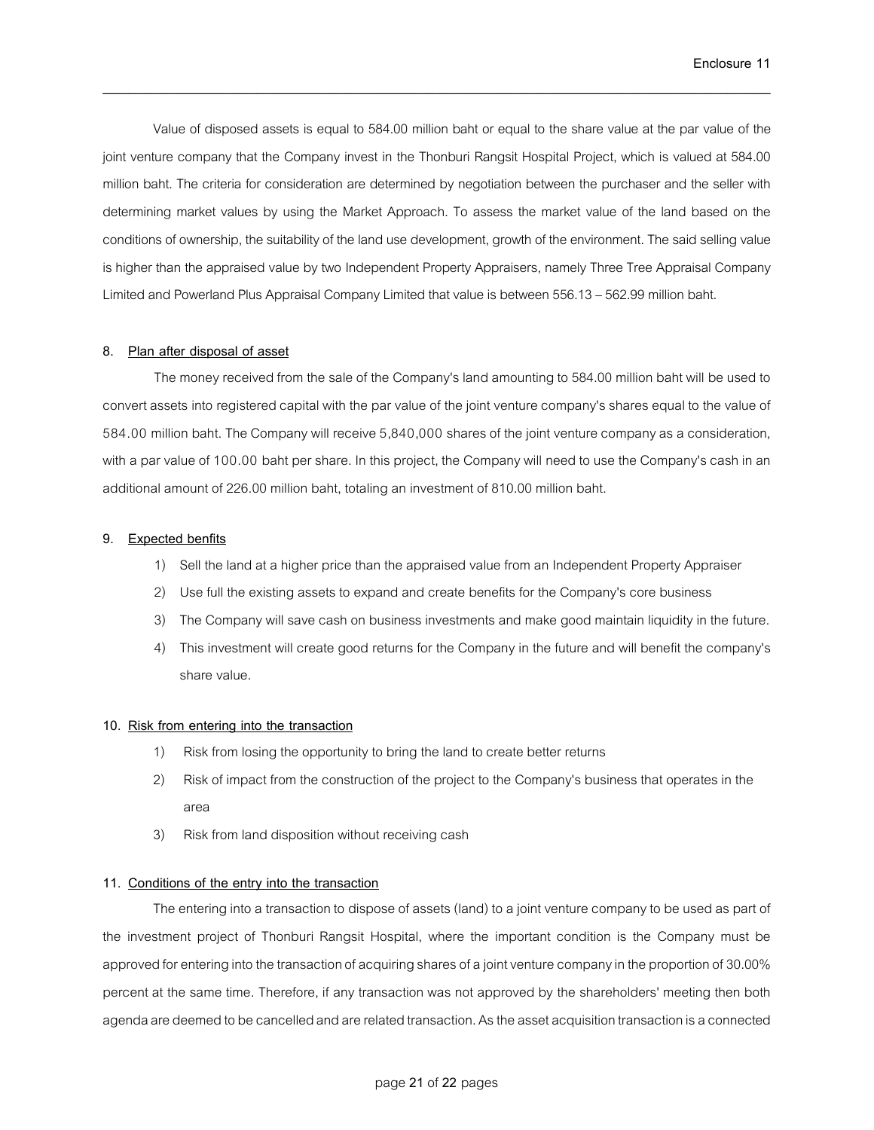Value of disposed assets is equal to 584.00 million baht or equal to the share value at the par value of the joint venture company that the Company invest in the Thonburi Rangsit Hospital Project, which is valued at 584.00 million baht. The criteria for consideration are determined by negotiation between the purchaser and the seller with determining market values by using the Market Approach. To assess the market value of the land based on the conditions of ownership, the suitability of the land use development, growth of the environment. The said selling value is higher than the appraised value by two Independent Property Appraisers, namely Three Tree Appraisal Company Limited and Powerland Plus Appraisal Company Limited that value is between 556.13 –562.99 million baht.

\_\_\_\_\_\_\_\_\_\_\_\_\_\_\_\_\_\_\_\_\_\_\_\_\_\_\_\_\_\_\_\_\_\_\_\_\_\_\_\_\_\_\_\_\_\_\_\_\_\_\_\_\_\_\_\_\_\_\_\_\_\_\_\_\_\_\_\_\_\_\_\_\_\_\_\_\_\_

## **8. Plan after disposal of asset**

The money received from the sale of the Company's land amounting to 584.00 million baht will be used to convert assets into registered capital with the par value of the joint venture company's shares equal to the value of 584.00 million baht.The Company will receive 5,840,000 shares of the joint venture company as a consideration, with a par value of 100.00 baht per share. In this project, the Company will need to use the Company's cash in an additional amount of 226.00 million baht, totaling an investment of 810.00 million baht.

#### **9. Expected benfits**

- 1) Sell the land at a higher price than the appraised value from an Independent Property Appraiser
- 2) Use full the existing assets to expand and create benefits for the Company's core business
- 3) The Company will save cash on business investments and make good maintain liquidity in the future.
- 4) This investment will create good returns for the Company in the future and will benefit the company's share value.

#### **10. Risk from entering into the transaction**

- 1) Risk from losing the opportunity to bring the land to create better returns
- 2) Risk of impact from the construction of the project to the Company's business that operates in the area
- 3) Risk from land disposition without receiving cash

#### **11. Conditions of the entry into the transaction**

The entering into a transaction to dispose of assets (land) to a joint venture company to be used as part of the investment project of Thonburi Rangsit Hospital, where the important condition is the Company must be approved for entering into the transaction of acquiring shares of a joint venture company in the proportion of 30.00% percent at the same time. Therefore, if any transaction was not approved by the shareholders' meeting then both agenda are deemed to be cancelled and are related transaction. As the asset acquisition transaction is a connected